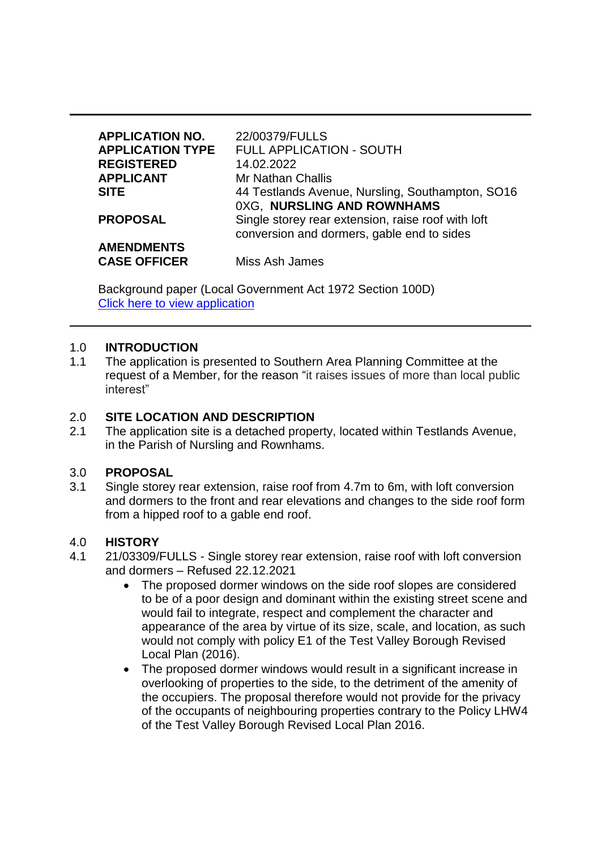| <b>APPLICATION NO.</b>                   | 22/00379/FULLS                                                                                   |
|------------------------------------------|--------------------------------------------------------------------------------------------------|
| <b>APPLICATION TYPE</b>                  | <b>FULL APPLICATION - SOUTH</b>                                                                  |
| <b>REGISTERED</b>                        | 14.02.2022                                                                                       |
| <b>APPLICANT</b>                         | <b>Mr Nathan Challis</b>                                                                         |
| <b>SITE</b>                              | 44 Testlands Avenue, Nursling, Southampton, SO16<br>0XG, NURSLING AND ROWNHAMS                   |
| <b>PROPOSAL</b>                          | Single storey rear extension, raise roof with loft<br>conversion and dormers, gable end to sides |
| <b>AMENDMENTS</b><br><b>CASE OFFICER</b> | Miss Ash James                                                                                   |

Background paper (Local Government Act 1972 Section 100D) [Click here to view application](https://view-applications.testvalley.gov.uk/online-applications/applicationDetails.do?activeTab=summary&keyVal=R76M14QCLMK00)

### 1.0 **INTRODUCTION**

1.1 The application is presented to Southern Area Planning Committee at the request of a Member, for the reason "it raises issues of more than local public interest"

#### 2.0 **SITE LOCATION AND DESCRIPTION**

2.1 The application site is a detached property, located within Testlands Avenue, in the Parish of Nursling and Rownhams.

#### 3.0 **PROPOSAL**

3.1 Single storey rear extension, raise roof from 4.7m to 6m, with loft conversion and dormers to the front and rear elevations and changes to the side roof form from a hipped roof to a gable end roof.

#### 4.0 **HISTORY**

- 4.1 21/03309/FULLS Single storey rear extension, raise roof with loft conversion and dormers – Refused 22.12.2021
	- The proposed dormer windows on the side roof slopes are considered to be of a poor design and dominant within the existing street scene and would fail to integrate, respect and complement the character and appearance of the area by virtue of its size, scale, and location, as such would not comply with policy E1 of the Test Valley Borough Revised Local Plan (2016).
	- The proposed dormer windows would result in a significant increase in overlooking of properties to the side, to the detriment of the amenity of the occupiers. The proposal therefore would not provide for the privacy of the occupants of neighbouring properties contrary to the Policy LHW4 of the Test Valley Borough Revised Local Plan 2016.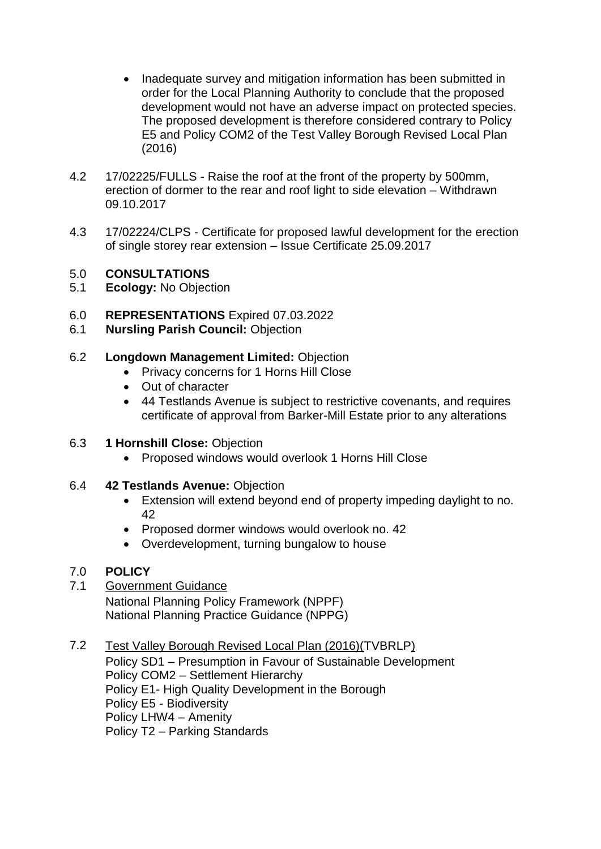- Inadequate survey and mitigation information has been submitted in order for the Local Planning Authority to conclude that the proposed development would not have an adverse impact on protected species. The proposed development is therefore considered contrary to Policy E5 and Policy COM2 of the Test Valley Borough Revised Local Plan (2016)
- 4.2 17/02225/FULLS Raise the roof at the front of the property by 500mm, erection of dormer to the rear and roof light to side elevation – Withdrawn 09.10.2017
- 4.3 17/02224/CLPS Certificate for proposed lawful development for the erection of single storey rear extension – Issue Certificate 25.09.2017

## 5.0 **CONSULTATIONS**

- 5.1 **Ecology:** No Objection
- 6.0 **REPRESENTATIONS** Expired 07.03.2022
- 6.1 **Nursling Parish Council:** Objection
- 6.2 **Longdown Management Limited:** Objection
	- Privacy concerns for 1 Horns Hill Close
	- Out of character
	- 44 Testlands Avenue is subject to restrictive covenants, and requires certificate of approval from Barker-Mill Estate prior to any alterations

## 6.3 **1 Hornshill Close:** Objection

- Proposed windows would overlook 1 Horns Hill Close
- 6.4 **42 Testlands Avenue:** Objection
	- Extension will extend beyond end of property impeding daylight to no. 42
	- Proposed dormer windows would overlook no. 42
	- Overdevelopment, turning bungalow to house

# 7.0 **POLICY**

7.1 Government Guidance National Planning Policy Framework (NPPF) National Planning Practice Guidance (NPPG)

### 7.2 Test Valley Borough Revised Local Plan (2016)(TVBRLP) Policy SD1 – Presumption in Favour of Sustainable Development Policy COM2 – Settlement Hierarchy Policy E1- High Quality Development in the Borough Policy E5 - Biodiversity Policy LHW4 – Amenity Policy T2 – Parking Standards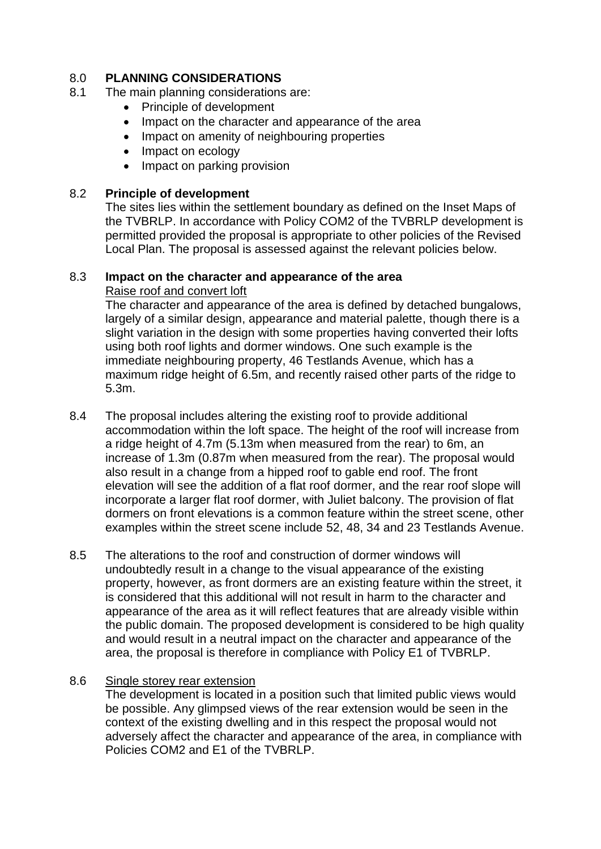# 8.0 **PLANNING CONSIDERATIONS**

- 8.1 The main planning considerations are:
	- Principle of development
	- Impact on the character and appearance of the area
	- Impact on amenity of neighbouring properties
	- Impact on ecology
	- Impact on parking provision

### 8.2 **Principle of development**

The sites lies within the settlement boundary as defined on the Inset Maps of the TVBRLP. In accordance with Policy COM2 of the TVBRLP development is permitted provided the proposal is appropriate to other policies of the Revised Local Plan. The proposal is assessed against the relevant policies below.

### 8.3 **Impact on the character and appearance of the area** Raise roof and convert loft

The character and appearance of the area is defined by detached bungalows, largely of a similar design, appearance and material palette, though there is a slight variation in the design with some properties having converted their lofts using both roof lights and dormer windows. One such example is the immediate neighbouring property, 46 Testlands Avenue, which has a maximum ridge height of 6.5m, and recently raised other parts of the ridge to 5.3m.

- 8.4 The proposal includes altering the existing roof to provide additional accommodation within the loft space. The height of the roof will increase from a ridge height of 4.7m (5.13m when measured from the rear) to 6m, an increase of 1.3m (0.87m when measured from the rear). The proposal would also result in a change from a hipped roof to gable end roof. The front elevation will see the addition of a flat roof dormer, and the rear roof slope will incorporate a larger flat roof dormer, with Juliet balcony. The provision of flat dormers on front elevations is a common feature within the street scene, other examples within the street scene include 52, 48, 34 and 23 Testlands Avenue.
- 8.5 The alterations to the roof and construction of dormer windows will undoubtedly result in a change to the visual appearance of the existing property, however, as front dormers are an existing feature within the street, it is considered that this additional will not result in harm to the character and appearance of the area as it will reflect features that are already visible within the public domain. The proposed development is considered to be high quality and would result in a neutral impact on the character and appearance of the area, the proposal is therefore in compliance with Policy E1 of TVBRLP.

### 8.6 Single storey rear extension

The development is located in a position such that limited public views would be possible. Any glimpsed views of the rear extension would be seen in the context of the existing dwelling and in this respect the proposal would not adversely affect the character and appearance of the area, in compliance with Policies COM2 and E1 of the TVBRLP.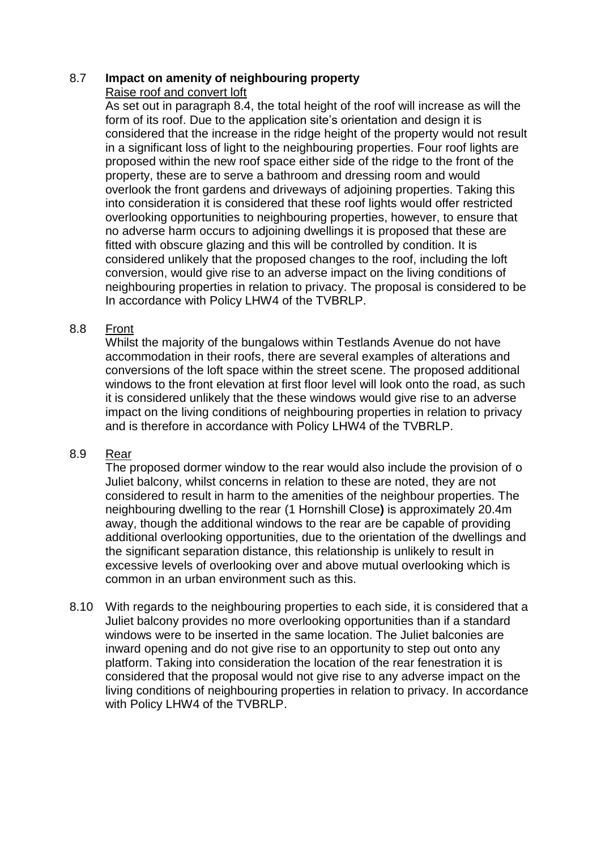### 8.7 **Impact on amenity of neighbouring property** Raise roof and convert loft

As set out in paragraph 8.4, the total height of the roof will increase as will the form of its roof. Due to the application site's orientation and design it is considered that the increase in the ridge height of the property would not result in a significant loss of light to the neighbouring properties. Four roof lights are proposed within the new roof space either side of the ridge to the front of the property, these are to serve a bathroom and dressing room and would overlook the front gardens and driveways of adjoining properties. Taking this into consideration it is considered that these roof lights would offer restricted overlooking opportunities to neighbouring properties, however, to ensure that no adverse harm occurs to adjoining dwellings it is proposed that these are fitted with obscure glazing and this will be controlled by condition. It is considered unlikely that the proposed changes to the roof, including the loft conversion, would give rise to an adverse impact on the living conditions of neighbouring properties in relation to privacy. The proposal is considered to be In accordance with Policy LHW4 of the TVBRLP.

## 8.8 Front

Whilst the majority of the bungalows within Testlands Avenue do not have accommodation in their roofs, there are several examples of alterations and conversions of the loft space within the street scene. The proposed additional windows to the front elevation at first floor level will look onto the road, as such it is considered unlikely that the these windows would give rise to an adverse impact on the living conditions of neighbouring properties in relation to privacy and is therefore in accordance with Policy LHW4 of the TVBRLP.

## 8.9 Rear

The proposed dormer window to the rear would also include the provision of o Juliet balcony, whilst concerns in relation to these are noted, they are not considered to result in harm to the amenities of the neighbour properties. The neighbouring dwelling to the rear (1 Hornshill Close**)** is approximately 20.4m away, though the additional windows to the rear are be capable of providing additional overlooking opportunities, due to the orientation of the dwellings and the significant separation distance, this relationship is unlikely to result in excessive levels of overlooking over and above mutual overlooking which is common in an urban environment such as this.

8.10 With regards to the neighbouring properties to each side, it is considered that a Juliet balcony provides no more overlooking opportunities than if a standard windows were to be inserted in the same location. The Juliet balconies are inward opening and do not give rise to an opportunity to step out onto any platform. Taking into consideration the location of the rear fenestration it is considered that the proposal would not give rise to any adverse impact on the living conditions of neighbouring properties in relation to privacy. In accordance with Policy LHW4 of the TVBRLP.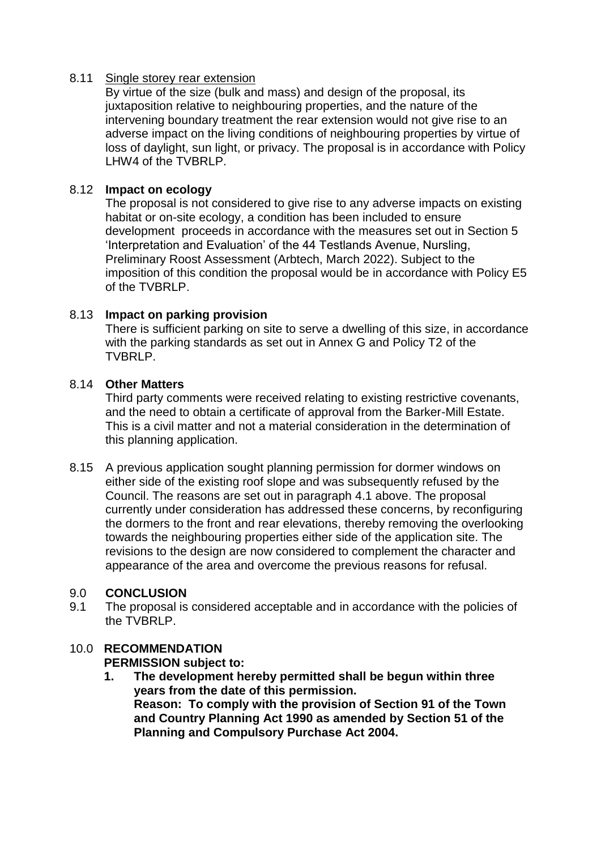### 8.11 Single storey rear extension

By virtue of the size (bulk and mass) and design of the proposal, its juxtaposition relative to neighbouring properties, and the nature of the intervening boundary treatment the rear extension would not give rise to an adverse impact on the living conditions of neighbouring properties by virtue of loss of daylight, sun light, or privacy. The proposal is in accordance with Policy LHW4 of the TVBRLP.

## 8.12 **Impact on ecology**

The proposal is not considered to give rise to any adverse impacts on existing habitat or on-site ecology, a condition has been included to ensure development proceeds in accordance with the measures set out in Section 5 'Interpretation and Evaluation' of the 44 Testlands Avenue, Nursling, Preliminary Roost Assessment (Arbtech, March 2022). Subject to the imposition of this condition the proposal would be in accordance with Policy E5 of the TVBRLP.

## 8.13 **Impact on parking provision**

There is sufficient parking on site to serve a dwelling of this size, in accordance with the parking standards as set out in Annex G and Policy T2 of the TVBRLP.

## 8.14 **Other Matters**

Third party comments were received relating to existing restrictive covenants, and the need to obtain a certificate of approval from the Barker-Mill Estate. This is a civil matter and not a material consideration in the determination of this planning application.

8.15 A previous application sought planning permission for dormer windows on either side of the existing roof slope and was subsequently refused by the Council. The reasons are set out in paragraph 4.1 above. The proposal currently under consideration has addressed these concerns, by reconfiguring the dormers to the front and rear elevations, thereby removing the overlooking towards the neighbouring properties either side of the application site. The revisions to the design are now considered to complement the character and appearance of the area and overcome the previous reasons for refusal.

## 9.0 **CONCLUSION**

9.1 The proposal is considered acceptable and in accordance with the policies of the TVBRLP.

# 10.0 **RECOMMENDATION**

**PERMISSION subject to:**

**1. The development hereby permitted shall be begun within three years from the date of this permission. Reason: To comply with the provision of Section 91 of the Town and Country Planning Act 1990 as amended by Section 51 of the Planning and Compulsory Purchase Act 2004.**